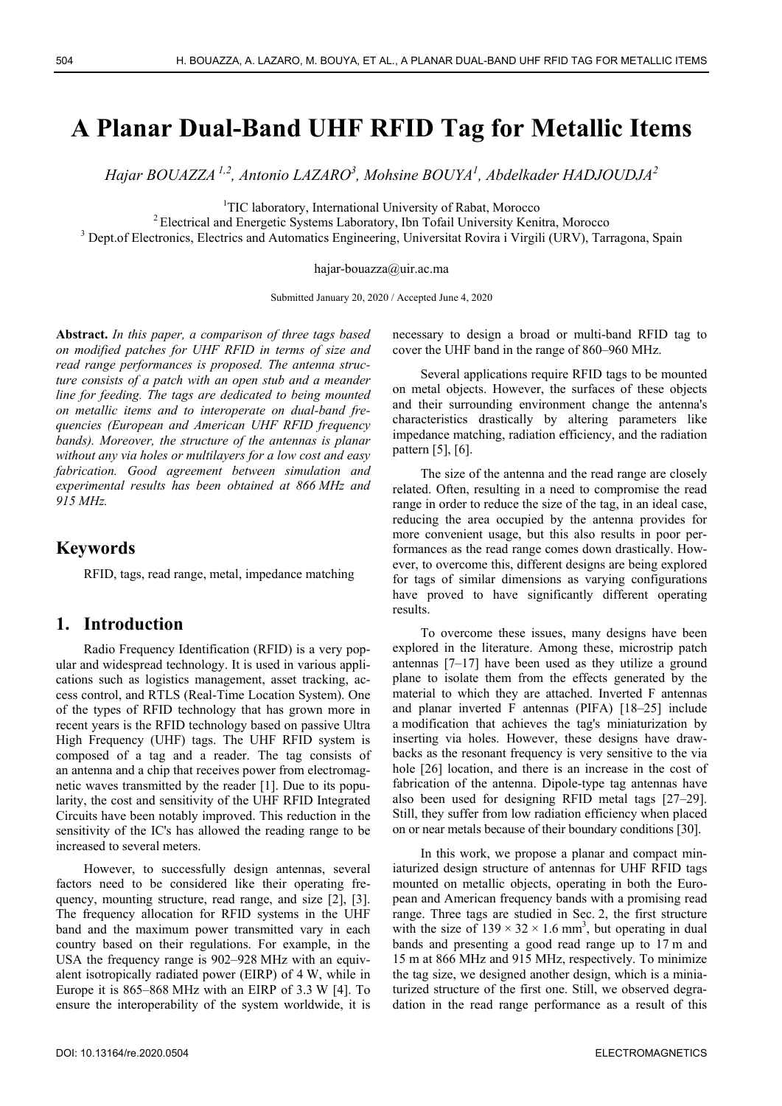# **A Planar Dual-Band UHF RFID Tag for Metallic Items**

*Hajar BOUAZZA 1,2, Antonio LAZARO3 , Mohsine BOUYA1 , Abdelkader HADJOUDJA<sup>2</sup>*

<sup>1</sup>TIC laboratory, International University of Rabat, Morocco

 $2$  Electrical and Energetic Systems Laboratory, Ibn Tofail University Kenitra, Morocco

<sup>3</sup> Dept.of Electronics, Electrics and Automatics Engineering, Universitat Rovira i Virgili (URV), Tarragona, Spain

hajar-bouazza@uir.ac.ma

Submitted January 20, 2020 / Accepted June 4, 2020

**Abstract.** *In this paper, a comparison of three tags based on modified patches for UHF RFID in terms of size and read range performances is proposed. The antenna structure consists of a patch with an open stub and a meander line for feeding. The tags are dedicated to being mounted on metallic items and to interoperate on dual-band frequencies (European and American UHF RFID frequency bands). Moreover, the structure of the antennas is planar without any via holes or multilayers for a low cost and easy fabrication. Good agreement between simulation and experimental results has been obtained at 866 MHz and 915 MHz.* 

#### **Keywords**

RFID, tags, read range, metal, impedance matching

### **1. Introduction**

Radio Frequency Identification (RFID) is a very popular and widespread technology. It is used in various applications such as logistics management, asset tracking, access control, and RTLS (Real-Time Location System). One of the types of RFID technology that has grown more in recent years is the RFID technology based on passive Ultra High Frequency (UHF) tags. The UHF RFID system is composed of a tag and a reader. The tag consists of an antenna and a chip that receives power from electromagnetic waves transmitted by the reader [1]. Due to its popularity, the cost and sensitivity of the UHF RFID Integrated Circuits have been notably improved. This reduction in the sensitivity of the IC's has allowed the reading range to be increased to several meters.

However, to successfully design antennas, several factors need to be considered like their operating frequency, mounting structure, read range, and size [2], [3]. The frequency allocation for RFID systems in the UHF band and the maximum power transmitted vary in each country based on their regulations. For example, in the USA the frequency range is 902–928 MHz with an equivalent isotropically radiated power (EIRP) of 4 W, while in Europe it is 865–868 MHz with an EIRP of 3.3 W [4]. To ensure the interoperability of the system worldwide, it is necessary to design a broad or multi-band RFID tag to cover the UHF band in the range of 860–960 MHz.

Several applications require RFID tags to be mounted on metal objects. However, the surfaces of these objects and their surrounding environment change the antenna's characteristics drastically by altering parameters like impedance matching, radiation efficiency, and the radiation pattern [5], [6].

The size of the antenna and the read range are closely related. Often, resulting in a need to compromise the read range in order to reduce the size of the tag, in an ideal case, reducing the area occupied by the antenna provides for more convenient usage, but this also results in poor performances as the read range comes down drastically. However, to overcome this, different designs are being explored for tags of similar dimensions as varying configurations have proved to have significantly different operating results.

To overcome these issues, many designs have been explored in the literature. Among these, microstrip patch antennas [7–17] have been used as they utilize a ground plane to isolate them from the effects generated by the material to which they are attached. Inverted F antennas and planar inverted F antennas (PIFA) [18–25] include a modification that achieves the tag's miniaturization by inserting via holes. However, these designs have drawbacks as the resonant frequency is very sensitive to the via hole [26] location, and there is an increase in the cost of fabrication of the antenna. Dipole-type tag antennas have also been used for designing RFID metal tags [27–29]. Still, they suffer from low radiation efficiency when placed on or near metals because of their boundary conditions [30].

In this work, we propose a planar and compact miniaturized design structure of antennas for UHF RFID tags mounted on metallic objects, operating in both the European and American frequency bands with a promising read range. Three tags are studied in Sec. 2, the first structure with the size of  $139 \times 32 \times 1.6$  mm<sup>3</sup>, but operating in dual bands and presenting a good read range up to 17 m and 15 m at 866 MHz and 915 MHz, respectively. To minimize the tag size, we designed another design, which is a miniaturized structure of the first one. Still, we observed degradation in the read range performance as a result of this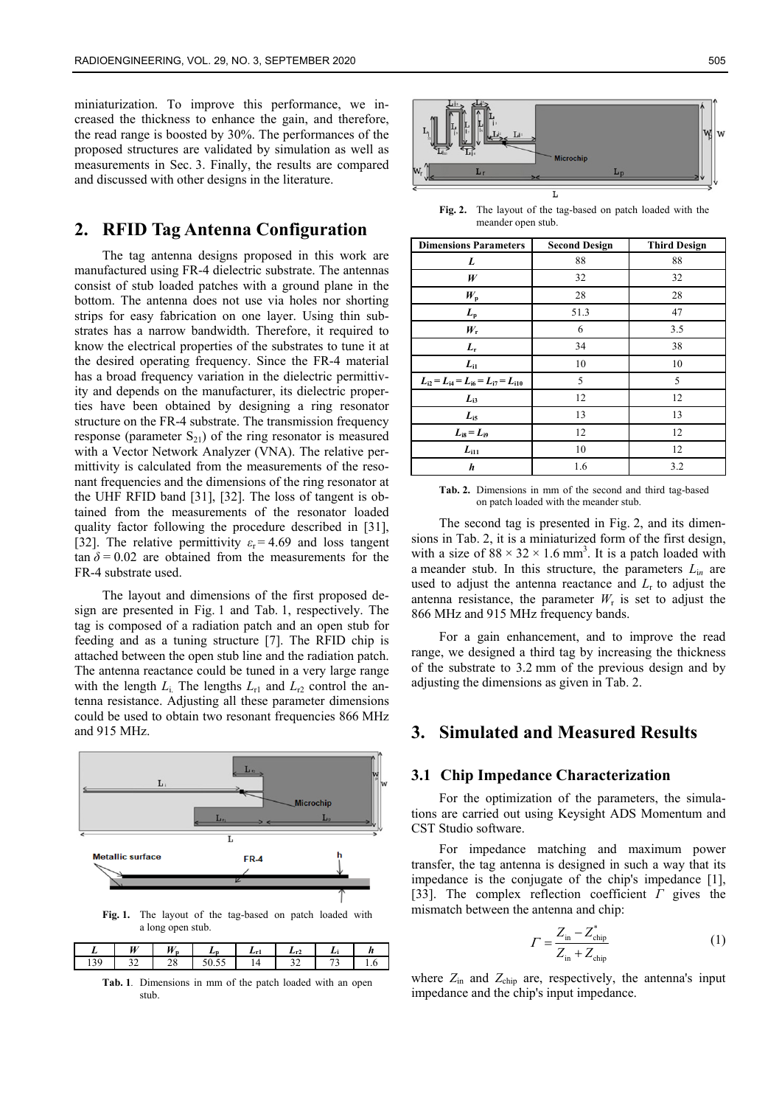miniaturization. To improve this performance, we increased the thickness to enhance the gain, and therefore, the read range is boosted by 30%. The performances of the proposed structures are validated by simulation as well as measurements in Sec. 3. Finally, the results are compared and discussed with other designs in the literature.

## **2. RFID Tag Antenna Configuration**

The tag antenna designs proposed in this work are manufactured using FR-4 dielectric substrate. The antennas consist of stub loaded patches with a ground plane in the bottom. The antenna does not use via holes nor shorting strips for easy fabrication on one layer. Using thin substrates has a narrow bandwidth. Therefore, it required to know the electrical properties of the substrates to tune it at the desired operating frequency. Since the FR-4 material has a broad frequency variation in the dielectric permittivity and depends on the manufacturer, its dielectric properties have been obtained by designing a ring resonator structure on the FR-4 substrate. The transmission frequency response (parameter  $S_{21}$ ) of the ring resonator is measured with a Vector Network Analyzer (VNA). The relative permittivity is calculated from the measurements of the resonant frequencies and the dimensions of the ring resonator at the UHF RFID band [31], [32]. The loss of tangent is obtained from the measurements of the resonator loaded quality factor following the procedure described in [31], [32]. The relative permittivity  $\varepsilon_r = 4.69$  and loss tangent  $\tan \delta = 0.02$  are obtained from the measurements for the FR-4 substrate used.

The layout and dimensions of the first proposed design are presented in Fig. 1 and Tab. 1, respectively. The tag is composed of a radiation patch and an open stub for feeding and as a tuning structure [7]. The RFID chip is attached between the open stub line and the radiation patch. The antenna reactance could be tuned in a very large range with the length  $L_i$ . The lengths  $L_{r1}$  and  $L_{r2}$  control the antenna resistance. Adjusting all these parameter dimensions could be used to obtain two resonant frequencies 866 MHz and 915 MHz.



**Fig. 1.** The layout of the tag-based on patch loaded with a long open stub.

|       | W                                  | <b>YY</b> |                  | . . | ∸ |     |
|-------|------------------------------------|-----------|------------------|-----|---|-----|
| 1 J J | $\sim$<br>$\overline{\phantom{a}}$ | ີ<br>-    | $ -$<br>ں ب<br>◡ |     |   | . . |

**Tab. 1***.*Dimensions in mm of the patch loaded with an open stub.



**Fig. 2.** The layout of the tag-based on patch loaded with the meander open stub.

| <b>Dimensions Parameters</b>                  | <b>Second Design</b> | <b>Third Design</b> |  |
|-----------------------------------------------|----------------------|---------------------|--|
| L                                             | 88                   | 88                  |  |
| W                                             | 32                   | 32                  |  |
| $W_{\rm p}$                                   | 28                   | 28                  |  |
| $L_{\rm p}$                                   | 51.3                 | 47                  |  |
| $W_{\rm r}$                                   | 6                    | 3.5                 |  |
| $L_{\rm r}$                                   | 34                   | 38                  |  |
| $L_{i1}$                                      | 10                   | 10                  |  |
| $L_{i2} = L_{i4} = L_{i6} = L_{i7} = L_{i10}$ | 5                    | 5                   |  |
| $L_{i3}$                                      | 12                   | 12                  |  |
| $L_{i5}$                                      | 13                   | 13                  |  |
| $L_{i8} = L_{i9}$                             | 12                   | 12                  |  |
| $L_{111}$                                     | 10                   | 12                  |  |
| h                                             | 1.6                  | 3.2                 |  |

**Tab. 2.** Dimensions in mm of the second and third tag-based on patch loaded with the meander stub.

The second tag is presented in Fig. 2, and its dimensions in Tab. 2, it is a miniaturized form of the first design, with a size of  $88 \times 32 \times 1.6$  mm<sup>3</sup>. It is a patch loaded with a meander stub. In this structure, the parameters *L*i*n* are used to adjust the antenna reactance and  $L<sub>r</sub>$  to adjust the antenna resistance, the parameter  $W_r$  is set to adjust the 866 MHz and 915 MHz frequency bands.

For a gain enhancement, and to improve the read range, we designed a third tag by increasing the thickness of the substrate to 3.2 mm of the previous design and by adjusting the dimensions as given in Tab. 2.

## **3. Simulated and Measured Results**

#### **3.1 Chip Impedance Characterization**

For the optimization of the parameters, the simulations are carried out using Keysight ADS Momentum and CST Studio software.

For impedance matching and maximum power transfer, the tag antenna is designed in such a way that its impedance is the conjugate of the chip's impedance [1], [33]. The complex reflection coefficient *Г* gives the mismatch between the antenna and chip:

$$
\Gamma = \frac{Z_{\text{in}} - Z_{\text{chip}}^*}{Z_{\text{in}} + Z_{\text{chip}}}
$$
\n(1)

where  $Z_{\text{in}}$  and  $Z_{\text{chip}}$  are, respectively, the antenna's input impedance and the chip's input impedance.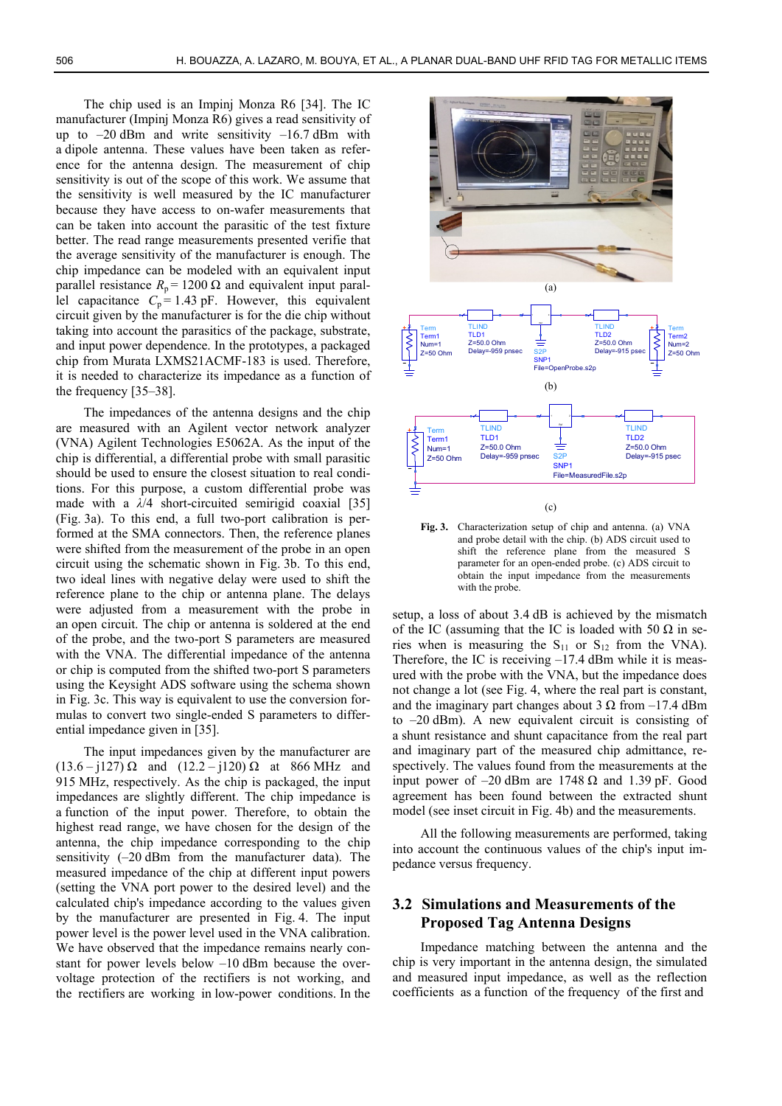The chip used is an Impinj Monza R6 [34]. The IC manufacturer (Impinj Monza R6) gives a read sensitivity of up to  $-20$  dBm and write sensitivity  $-16.7$  dBm with a dipole antenna. These values have been taken as reference for the antenna design. The measurement of chip sensitivity is out of the scope of this work. We assume that the sensitivity is well measured by the IC manufacturer because they have access to on-wafer measurements that can be taken into account the parasitic of the test fixture better. The read range measurements presented verifie that the average sensitivity of the manufacturer is enough. The chip impedance can be modeled with an equivalent input parallel resistance  $R_p = 1200 \Omega$  and equivalent input parallel capacitance  $C_p = 1.43$  pF. However, this equivalent circuit given by the manufacturer is for the die chip without taking into account the parasitics of the package, substrate, and input power dependence. In the prototypes, a packaged chip from Murata LXMS21ACMF-183 is used. Therefore, it is needed to characterize its impedance as a function of the frequency [35–38].

The impedances of the antenna designs and the chip are measured with an Agilent vector network analyzer (VNA) Agilent Technologies E5062A. As the input of the chip is differential, a differential probe with small parasitic should be used to ensure the closest situation to real conditions. For this purpose, a custom differential probe was made with a *λ*/4 short-circuited semirigid coaxial [35] (Fig. 3a). To this end, a full two-port calibration is performed at the SMA connectors. Then, the reference planes were shifted from the measurement of the probe in an open circuit using the schematic shown in Fig. 3b. To this end, two ideal lines with negative delay were used to shift the reference plane to the chip or antenna plane. The delays were adjusted from a measurement with the probe in an open circuit. The chip or antenna is soldered at the end of the probe, and the two-port S parameters are measured with the VNA. The differential impedance of the antenna or chip is computed from the shifted two-port S parameters using the Keysight ADS software using the schema shown in Fig. 3c. This way is equivalent to use the conversion formulas to convert two single-ended S parameters to differential impedance given in [35].

The input impedances given by the manufacturer are (13.6 – j127) Ω and (12.2 – j120) Ω at 866 MHz and 915 MHz, respectively. As the chip is packaged, the input impedances are slightly different. The chip impedance is a function of the input power. Therefore, to obtain the highest read range, we have chosen for the design of the antenna, the chip impedance corresponding to the chip sensitivity (–20 dBm from the manufacturer data). The measured impedance of the chip at different input powers (setting the VNA port power to the desired level) and the calculated chip's impedance according to the values given by the manufacturer are presented in Fig. 4. The input power level is the power level used in the VNA calibration. We have observed that the impedance remains nearly constant for power levels below –10 dBm because the overvoltage protection of the rectifiers is not working, and the rectifiers are working in low-power conditions. In the



**Fig. 3.** Characterization setup of chip and antenna. (a) VNA and probe detail with the chip. (b) ADS circuit used to shift the reference plane from the measured S parameter for an open-ended probe. (c) ADS circuit to obtain the input impedance from the measurements with the probe.

setup, a loss of about 3.4 dB is achieved by the mismatch of the IC (assuming that the IC is loaded with 50  $\Omega$  in series when is measuring the  $S_{11}$  or  $S_{12}$  from the VNA). Therefore, the IC is receiving  $-17.4$  dBm while it is measured with the probe with the VNA, but the impedance does not change a lot (see Fig. 4, where the real part is constant, and the imaginary part changes about 3  $\Omega$  from –17.4 dBm to –20 dBm). A new equivalent circuit is consisting of a shunt resistance and shunt capacitance from the real part and imaginary part of the measured chip admittance, respectively. The values found from the measurements at the input power of  $-20$  dBm are 1748  $\Omega$  and 1.39 pF. Good agreement has been found between the extracted shunt model (see inset circuit in Fig. 4b) and the measurements.

All the following measurements are performed, taking into account the continuous values of the chip's input impedance versus frequency.

#### **3.2 Simulations and Measurements of the Proposed Tag Antenna Designs**

Impedance matching between the antenna and the chip is very important in the antenna design, the simulated and measured input impedance, as well as the reflection coefficients as a function of the frequency of the first and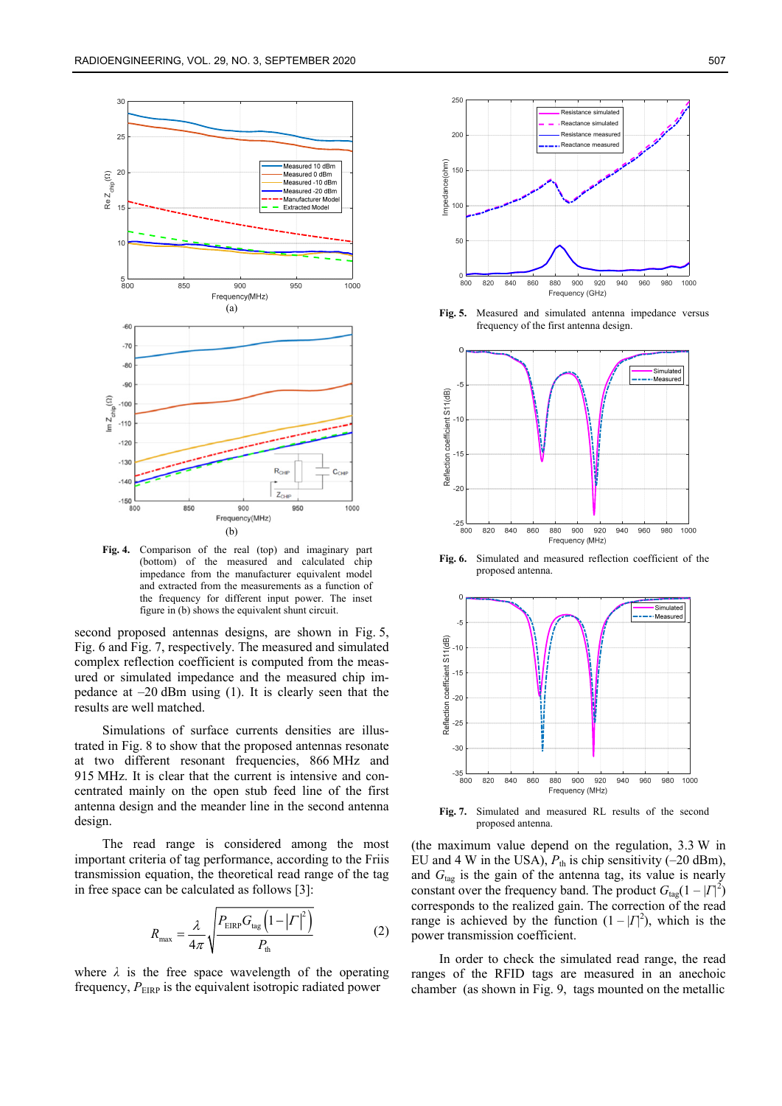

**Fig. 4.** Comparison of the real (top) and imaginary part (bottom) of the measured and calculated chip impedance from the manufacturer equivalent model and extracted from the measurements as a function of the frequency for different input power. The inset figure in (b) shows the equivalent shunt circuit.

second proposed antennas designs, are shown in Fig. 5, Fig. 6 and Fig. 7, respectively. The measured and simulated complex reflection coefficient is computed from the measured or simulated impedance and the measured chip impedance at –20 dBm using (1). It is clearly seen that the results are well matched.

Simulations of surface currents densities are illustrated in Fig. 8 to show that the proposed antennas resonate at two different resonant frequencies, 866 MHz and 915 MHz. It is clear that the current is intensive and concentrated mainly on the open stub feed line of the first antenna design and the meander line in the second antenna design.

The read range is considered among the most important criteria of tag performance, according to the Friis transmission equation, the theoretical read range of the tag in free space can be calculated as follows [3]:

$$
R_{\text{max}} = \frac{\lambda}{4\pi} \sqrt{\frac{P_{\text{EIRP}} G_{\text{tag}} \left(1 - \left| \boldsymbol{\varGamma} \right|^2\right)}{P_{\text{th}}}}
$$
(2)

where  $\lambda$  is the free space wavelength of the operating frequency,  $P_{EIRP}$  is the equivalent isotropic radiated power



**Fig. 5.** Measured and simulated antenna impedance versus frequency of the first antenna design.



**Fig. 6.** Simulated and measured reflection coefficient of the proposed antenna.



**Fig. 7.** Simulated and measured RL results of the second proposed antenna.

(the maximum value depend on the regulation, 3.3 W in EU and 4 W in the USA),  $P_{th}$  is chip sensitivity (-20 dBm), and  $G<sub>tag</sub>$  is the gain of the antenna tag, its value is nearly constant over the frequency band. The product  $G_{\text{tag}}(1-|I|^2)$ corresponds to the realized gain. The correction of the read range is achieved by the function  $(1 - |T|^2)$ , which is the power transmission coefficient.

In order to check the simulated read range, the read ranges of the RFID tags are measured in an anechoic chamber (as shown in Fig. 9, tags mounted on the metallic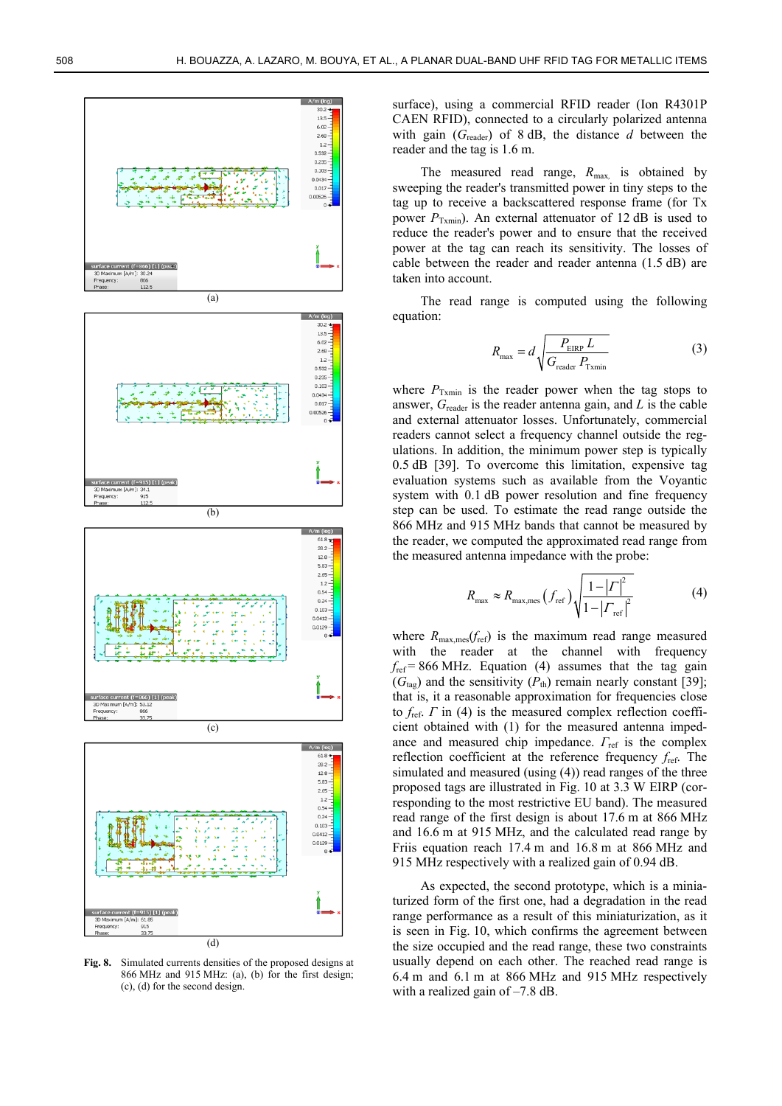

**Fig. 8.** Simulated currents densities of the proposed designs at 866 MHz and 915 MHz: (a), (b) for the first design; (c), (d) for the second design.

surface), using a commercial RFID reader (Ion R4301P CAEN RFID), connected to a circularly polarized antenna with gain (*G*reader) of 8 dB, the distance *d* between the reader and the tag is 1.6 m.

The measured read range,  $R_{\text{max}}$  is obtained by sweeping the reader's transmitted power in tiny steps to the tag up to receive a backscattered response frame (for Tx power  $P_{Txmin}$ ). An external attenuator of 12 dB is used to reduce the reader's power and to ensure that the received power at the tag can reach its sensitivity. The losses of cable between the reader and reader antenna (1.5 dB) are taken into account.

The read range is computed using the following equation:

$$
R_{\text{max}} = d \sqrt{\frac{P_{\text{EIRP}} L}{G_{\text{reader}} P_{\text{Txmin}}}}
$$
(3)

where  $P_{\text{Txmin}}$  is the reader power when the tag stops to answer, *G*reader is the reader antenna gain, and *L* is the cable and external attenuator losses. Unfortunately, commercial readers cannot select a frequency channel outside the regulations. In addition, the minimum power step is typically 0.5 dB [39]. To overcome this limitation, expensive tag evaluation systems such as available from the Voyantic system with 0.1 dB power resolution and fine frequency step can be used. To estimate the read range outside the 866 MHz and 915 MHz bands that cannot be measured by the reader, we computed the approximated read range from the measured antenna impedance with the probe:

$$
R_{\text{max}} \approx R_{\text{max},\text{mes}} \left(f_{\text{ref}}\right) \sqrt{\frac{1 - \left|\Gamma\right|^2}{1 - \left|\Gamma_{\text{ref}}\right|^2}} \tag{4}
$$

where  $R_{\text{max},\text{mes}}(f_{\text{ref}})$  is the maximum read range measured with the reader at the channel with frequency  $f_{ref} = 866 \text{ MHz}$ . Equation (4) assumes that the tag gain  $(G<sub>tag</sub>)$  and the sensitivity  $(P<sub>th</sub>)$  remain nearly constant [39]; that is, it a reasonable approximation for frequencies close to *f*ref. *Γ* in (4) is the measured complex reflection coefficient obtained with (1) for the measured antenna impedance and measured chip impedance. *Γ*ref is the complex reflection coefficient at the reference frequency *f*ref. The simulated and measured (using (4)) read ranges of the three proposed tags are illustrated in Fig. 10 at 3.3 W EIRP (corresponding to the most restrictive EU band). The measured read range of the first design is about 17.6 m at 866 MHz and 16.6 m at 915 MHz, and the calculated read range by Friis equation reach 17.4 m and 16.8 m at 866 MHz and 915 MHz respectively with a realized gain of 0.94 dB.

As expected, the second prototype, which is a miniaturized form of the first one, had a degradation in the read range performance as a result of this miniaturization, as it is seen in Fig. 10, which confirms the agreement between the size occupied and the read range, these two constraints usually depend on each other. The reached read range is 6.4 m and 6.1 m at 866 MHz and 915 MHz respectively with a realized gain of –7.8 dB.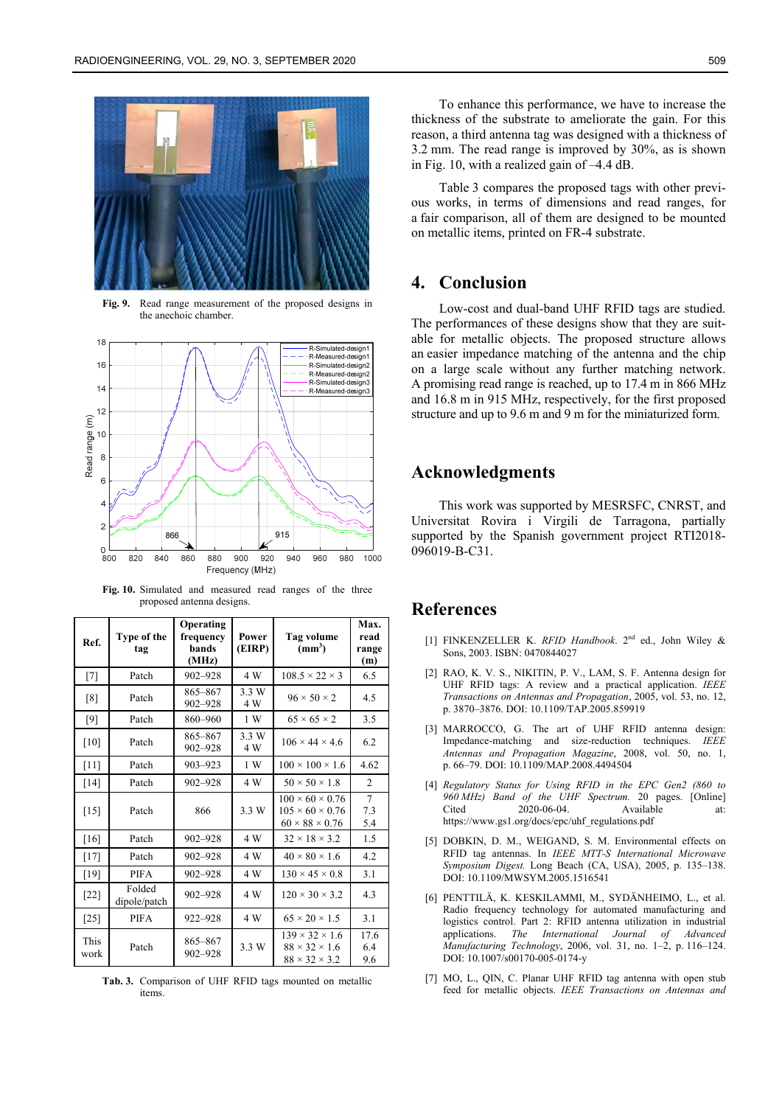

**Fig. 9.**Read range measurement of the proposed designs in the anechoic chamber.



**Fig. 10.** Simulated and measured read ranges of the three proposed antenna designs.

| Ref.                | Type of the<br>tag     | Operating<br>frequency<br>bands<br>(MHz) | Power<br>(EIRP) | <b>Tag volume</b><br>(mm <sup>3</sup> )                                                  | Max.<br>read<br>range<br>(m) |
|---------------------|------------------------|------------------------------------------|-----------------|------------------------------------------------------------------------------------------|------------------------------|
| $[7]$               | Patch                  | $902 - 928$                              | 4 W             | $108.5 \times 22 \times 3$                                                               | 6.5                          |
| [8]                 | Patch                  | 865-867<br>902-928                       | 3.3 W<br>4 W    | $96 \times 50 \times 2$                                                                  | 4.5                          |
| [9]                 | Patch                  | 860-960                                  | 1 W             | $65 \times 65 \times 2$                                                                  | 3.5                          |
| [10]                | Patch                  | 865-867<br>902-928                       | 3.3 W<br>4 W    | $106 \times 44 \times 4.6$                                                               | 6.2                          |
| $[11]$              | Patch                  | 903-923                                  | 1 W             | $100 \times 100 \times 1.6$                                                              | 4.62                         |
| $[14]$              | Patch                  | 902-928                                  | 4 W             | $50 \times 50 \times 1.8$                                                                | $\mathfrak{D}$               |
| $[15]$              | Patch                  | 866                                      | 3.3 W           | $100 \times 60 \times 0.76$<br>$105 \times 60 \times 0.76$<br>$60 \times 88 \times 0.76$ | $\overline{7}$<br>7.3<br>5.4 |
| [16]                | Patch                  | 902-928                                  | 4 W             | $32 \times 18 \times 3.2$                                                                | 1.5                          |
| $[17]$              | Patch                  | 902-928                                  | 4 W             | $40 \times 80 \times 1.6$                                                                | 4.2                          |
| $[19]$              | <b>PIFA</b>            | 902-928                                  | 4 W             | $130 \times 45 \times 0.8$                                                               | 3.1                          |
| $[22]$              | Folded<br>dipole/patch | 902-928                                  | 4 W             | $120 \times 30 \times 3.2$                                                               | 4.3                          |
| $[25]$              | <b>PIFA</b>            | 922-928                                  | 4 W             | $65 \times 20 \times 1.5$                                                                | 3.1                          |
| <b>This</b><br>work | Patch                  | 865-867<br>902-928                       | 3.3 W           | $139 \times 32 \times 1.6$<br>$88 \times 32 \times 1.6$<br>$88 \times 32 \times 3.2$     | 17.6<br>6.4<br>9.6           |

**Tab. 3.** Comparison of UHF RFID tags mounted on metallic items.

To enhance this performance, we have to increase the thickness of the substrate to ameliorate the gain. For this reason, a third antenna tag was designed with a thickness of 3.2 mm. The read range is improved by 30%, as is shown in Fig. 10, with a realized gain of –4.4 dB.

Table 3 compares the proposed tags with other previous works, in terms of dimensions and read ranges, for a fair comparison, all of them are designed to be mounted on metallic items, printed on FR-4 substrate.

# **4. Conclusion**

Low-cost and dual-band UHF RFID tags are studied. The performances of these designs show that they are suitable for metallic objects. The proposed structure allows an easier impedance matching of the antenna and the chip on a large scale without any further matching network. A promising read range is reached, up to 17.4 m in 866 MHz and 16.8 m in 915 MHz, respectively, for the first proposed structure and up to 9.6 m and 9 m for the miniaturized form.

## **Acknowledgments**

This work was supported by MESRSFC, CNRST, and Universitat Rovira i Virgili de Tarragona, partially supported by the Spanish government project RTI2018- 096019-B-C31.

#### **References**

- [1] FINKENZELLER K. *RFID Handbook*. 2nd ed., John Wiley & Sons, 2003. ISBN: 0470844027
- [2] RAO, K. V. S., NIKITIN, P. V., LAM, S. F. Antenna design for UHF RFID tags: A review and a practical application. *IEEE Transactions on Antennas and Propagation*, 2005, vol. 53, no. 12, p. 3870–3876. DOI: 10.1109/TAP.2005.859919
- [3] MARROCCO, G. The art of UHF RFID antenna design: Impedance-matching and size-reduction techniques. *IEEE Antennas and Propagation Magazine*, 2008, vol. 50, no. 1, p. 66–79. DOI: 10.1109/MAP.2008.4494504
- [4] *Regulatory Status for Using RFID in the EPC Gen2 (860 to 960 MHz) Band of the UHF Spectrum.* 20 pages. [Online] Cited 2020-06-04 Available at: https://www.gs1.org/docs/epc/uhf\_regulations.pdf
- [5] DOBKIN, D. M., WEIGAND, S. M. Environmental effects on RFID tag antennas. In *IEEE MTT-S International Microwave Symposium Digest.* Long Beach (CA, USA), 2005, p. 135–138. DOI: 10.1109/MWSYM.2005.1516541
- [6] PENTTILÄ, K. KESKILAMMI, M., SYDÄNHEIMO, L., et al. Radio frequency technology for automated manufacturing and logistics control. Part 2: RFID antenna utilization in industrial applications. *The International Journal of Advanced Manufacturing Technology*, 2006, vol. 31, no. 1–2, p. 116–124. DOI: 10.1007/s00170-005-0174-y
- [7] MO, L., QIN, C. Planar UHF RFID tag antenna with open stub feed for metallic objects. *IEEE Transactions on Antennas and*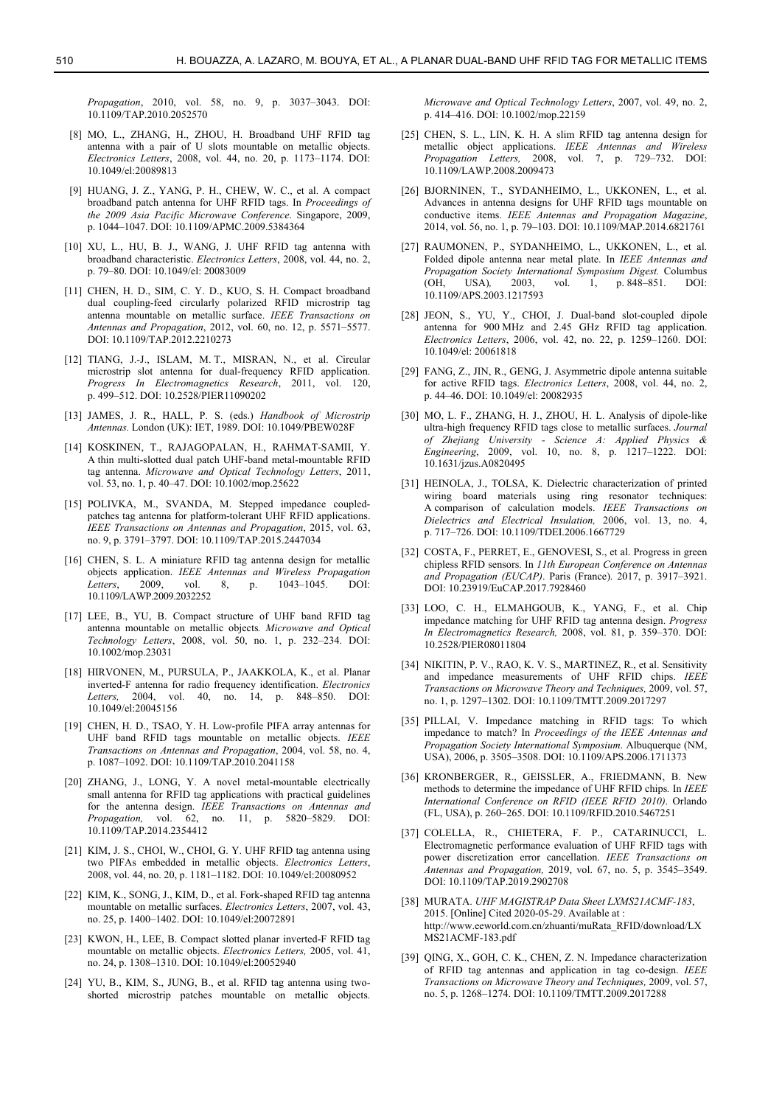*Propagation*, 2010, vol. 58, no. 9, p. 3037–3043. DOI: 10.1109/TAP.2010.2052570

- [8] MO, L., ZHANG, H., ZHOU, H. Broadband UHF RFID tag antenna with a pair of U slots mountable on metallic objects. *Electronics Letters*, 2008, vol. 44, no. 20, p. 1173–1174. DOI: 10.1049/el:20089813
- [9] HUANG, J. Z., YANG, P. H., CHEW, W. C., et al. A compact broadband patch antenna for UHF RFID tags. In *Proceedings of the 2009 Asia Pacific Microwave Conference*. Singapore, 2009, p. 1044–1047. DOI: 10.1109/APMC.2009.5384364
- [10] XU, L., HU, B. J., WANG, J. UHF RFID tag antenna with broadband characteristic. *Electronics Letters*, 2008, vol. 44, no. 2, p. 79–80. DOI: 10.1049/el: 20083009
- [11] CHEN, H. D., SIM, C. Y. D., KUO, S. H. Compact broadband dual coupling-feed circularly polarized RFID microstrip tag antenna mountable on metallic surface. *IEEE Transactions on Antennas and Propagation*, 2012, vol. 60, no. 12, p. 5571–5577. DOI: 10.1109/TAP.2012.2210273
- [12] TIANG, J.-J., ISLAM, M. T., MISRAN, N., et al. Circular microstrip slot antenna for dual-frequency RFID application. *Progress In Electromagnetics Research*, 2011, vol. 120, p. 499–512. DOI: 10.2528/PIER11090202
- [13] JAMES, J. R., HALL, P. S. (eds.) *Handbook of Microstrip Antennas.* London (UK): IET, 1989. DOI: 10.1049/PBEW028F
- [14] KOSKINEN, T., RAJAGOPALAN, H., RAHMAT-SAMII, Y. A thin multi-slotted dual patch UHF-band metal-mountable RFID tag antenna. *Microwave and Optical Technology Letters*, 2011, vol. 53, no. 1, p. 40–47. DOI: 10.1002/mop.25622
- [15] POLIVKA, M., SVANDA, M. Stepped impedance coupledpatches tag antenna for platform-tolerant UHF RFID applications. *IEEE Transactions on Antennas and Propagation*, 2015, vol. 63, no. 9, p. 3791–3797. DOI: 10.1109/TAP.2015.2447034
- [16] CHEN, S. L. A miniature RFID tag antenna design for metallic objects application. *IEEE Antennas and Wireless Propagation Letters*, 2009, vol. 8, p. 1043–1045. DOI: 10.1109/LAWP.2009.2032252
- [17] LEE, B., YU, B. Compact structure of UHF band RFID tag antenna mountable on metallic objects*. Microwave and Optical Technology Letters*, 2008, vol. 50, no. 1, p. 232–234. DOI: 10.1002/mop.23031
- [18] HIRVONEN, M., PURSULA, P., JAAKKOLA, K., et al. Planar inverted-F antenna for radio frequency identification. *Electronics Letters,* 2004, vol. 40, no. 14, p. 848–850. DOI: 10.1049/el:20045156
- [19] CHEN, H. D., TSAO, Y. H. Low-profile PIFA array antennas for UHF band RFID tags mountable on metallic objects. *IEEE Transactions on Antennas and Propagation*, 2004, vol. 58, no. 4, p. 1087–1092. DOI: 10.1109/TAP.2010.2041158
- [20] ZHANG, J., LONG, Y. A novel metal-mountable electrically small antenna for RFID tag applications with practical guidelines for the antenna design. *IEEE Transactions on Antennas and Propagation,* vol. 62, no. 11, p. 5820–5829. DOI: 10.1109/TAP.2014.2354412
- [21] KIM, J. S., CHOI, W., CHOI, G. Y. UHF RFID tag antenna using two PIFAs embedded in metallic objects. *Electronics Letters*, 2008, vol. 44, no. 20, p. 1181–1182. DOI: 10.1049/el:20080952
- [22] KIM, K., SONG, J., KIM, D., et al. Fork-shaped RFID tag antenna mountable on metallic surfaces. *Electronics Letters*, 2007, vol. 43, no. 25, p. 1400–1402. DOI: 10.1049/el:20072891
- [23] KWON, H., LEE, B. Compact slotted planar inverted-F RFID tag mountable on metallic objects. *Electronics Letters,* 2005, vol. 41, no. 24, p. 1308–1310. DOI: 10.1049/el:20052940
- [24] YU, B., KIM, S., JUNG, B., et al. RFID tag antenna using twoshorted microstrip patches mountable on metallic objects.

*Microwave and Optical Technology Letters*, 2007, vol. 49, no. 2, p. 414–416. DOI: 10.1002/mop.22159

- [25] CHEN, S. L., LIN, K. H. A slim RFID tag antenna design for metallic object applications. *IEEE Antennas and Wireless Propagation Letters,* 2008, vol. 7, p. 729–732. DOI: 10.1109/LAWP.2008.2009473
- [26] BJORNINEN, T., SYDANHEIMO, L., UKKONEN, L., et al. Advances in antenna designs for UHF RFID tags mountable on conductive items. *IEEE Antennas and Propagation Magazine*, 2014, vol. 56, no. 1, p. 79–103. DOI: 10.1109/MAP.2014.6821761
- [27] RAUMONEN, P., SYDANHEIMO, L., UKKONEN, L., et al. Folded dipole antenna near metal plate. In *IEEE Antennas and Propagation Society International Symposium Digest.* Columbus (OH, USA)*,* 2003, vol. 1, p. 848–851. DOI: 10.1109/APS.2003.1217593
- [28] JEON, S., YU, Y., CHOI, J. Dual-band slot-coupled dipole antenna for 900 MHz and 2.45 GHz RFID tag application. *Electronics Letters*, 2006, vol. 42, no. 22, p. 1259–1260. DOI: 10.1049/el: 20061818
- [29] FANG, Z., JIN, R., GENG, J. Asymmetric dipole antenna suitable for active RFID tags. *Electronics Letters*, 2008, vol. 44, no. 2, p. 44–46. DOI: 10.1049/el: 20082935
- [30] MO, L. F., ZHANG, H. J., ZHOU, H. L. Analysis of dipole-like ultra-high frequency RFID tags close to metallic surfaces. *Journal of Zhejiang University - Science A: Applied Physics & Engineering*, 2009, vol. 10, no. 8, p. 1217–1222. DOI: 10.1631/jzus.A0820495
- [31] HEINOLA, J., TOLSA, K. Dielectric characterization of printed wiring board materials using ring resonator techniques: A comparison of calculation models. *IEEE Transactions on Dielectrics and Electrical Insulation,* 2006, vol. 13, no. 4, p. 717–726. DOI: 10.1109/TDEI.2006.1667729
- [32] COSTA, F., PERRET, E., GENOVESI, S., et al. Progress in green chipless RFID sensors. In *11th European Conference on Antennas and Propagation (EUCAP)*. Paris (France). 2017, p. 3917–3921. DOI: 10.23919/EuCAP.2017.7928460
- [33] LOO, C. H., ELMAHGOUB, K., YANG, F., et al. Chip impedance matching for UHF RFID tag antenna design. *Progress In Electromagnetics Research,* 2008, vol. 81, p. 359–370. DOI: 10.2528/PIER08011804
- [34] NIKITIN, P. V., RAO, K. V. S., MARTINEZ, R., et al. Sensitivity and impedance measurements of UHF RFID chips. *IEEE Transactions on Microwave Theory and Techniques,* 2009, vol. 57, no. 1, p. 1297–1302. DOI: 10.1109/TMTT.2009.2017297
- [35] PILLAI, V. Impedance matching in RFID tags: To which impedance to match? In *Proceedings of the IEEE Antennas and Propagation Society International Symposium*. Albuquerque (NM, USA), 2006, p. 3505–3508. DOI: 10.1109/APS.2006.1711373
- [36] KRONBERGER, R., GEISSLER, A., FRIEDMANN, B. New methods to determine the impedance of UHF RFID chips*.* In *IEEE International Conference on RFID (IEEE RFID 2010)*. Orlando (FL, USA), p. 260–265. DOI: 10.1109/RFID.2010.5467251
- [37] COLELLA, R., CHIETERA, F. P., CATARINUCCI, L. Electromagnetic performance evaluation of UHF RFID tags with power discretization error cancellation. *IEEE Transactions on Antennas and Propagation,* 2019, vol. 67, no. 5, p. 3545–3549. DOI: 10.1109/TAP.2019.2902708
- [38] MURATA. *UHF MAGISTRAP Data Sheet LXMS21ACMF-183*, 2015. [Online] Cited 2020-05-29. Available at : http://www.eeworld.com.cn/zhuanti/muRata\_RFID/download/LX MS21ACMF-183.pdf
- [39] QING, X., GOH, C. K., CHEN, Z. N. Impedance characterization of RFID tag antennas and application in tag co-design. *IEEE Transactions on Microwave Theory and Techniques,* 2009, vol. 57, no. 5, p. 1268–1274. DOI: 10.1109/TMTT.2009.2017288